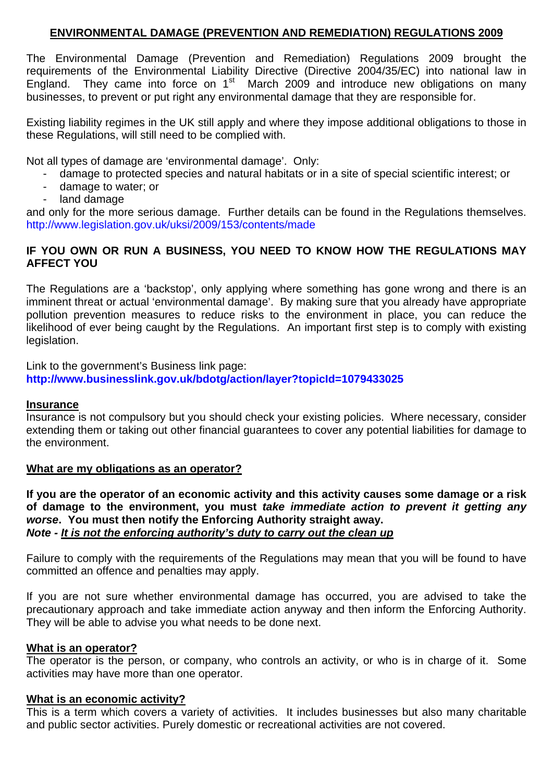#### **ENVIRONMENTAL DAMAGE (PREVENTION AND REMEDIATION) REGULATIONS 2009**

The Environmental Damage (Prevention and Remediation) Regulations 2009 brought the requirements of the Environmental Liability Directive (Directive 2004/35/EC) into national law in England. They came into force on  $1<sup>st</sup>$  March 2009 and introduce new obligations on many businesses, to prevent or put right any environmental damage that they are responsible for.

Existing liability regimes in the UK still apply and where they impose additional obligations to those in these Regulations, will still need to be complied with.

Not all types of damage are 'environmental damage'. Only:

- damage to protected species and natural habitats or in a site of special scientific interest; or
- damage to water; or
- land damage

and only for the more serious damage. Further details can be found in the Regulations themselves. <http://www.legislation.gov.uk/uksi/2009/153/contents/made>

### **IF YOU OWN OR RUN A BUSINESS, YOU NEED TO KNOW HOW THE REGULATIONS MAY AFFECT YOU**

The Regulations are a 'backstop', only applying where something has gone wrong and there is an imminent threat or actual 'environmental damage'. By making sure that you already have appropriate pollution prevention measures to reduce risks to the environment in place, you can reduce the likelihood of ever being caught by the Regulations. An important first step is to comply with existing legislation.

Link to the government's Business link page: **<http://www.businesslink.gov.uk/bdotg/action/layer?topicId=1079433025>**

#### **Insurance**

Insurance is not compulsory but you should check your existing policies. Where necessary, consider extending them or taking out other financial guarantees to cover any potential liabilities for damage to the environment.

#### **What are my obligations as an operator?**

**If you are the operator of an economic activity and this activity causes some damage or a risk of damage to the environment, you must** *take immediate action to prevent it getting any worse***. You must then notify the Enforcing Authority straight away.** *Note - It is not the enforcing authority's duty to carry out the clean up*

Failure to comply with the requirements of the Regulations may mean that you will be found to have committed an offence and penalties may apply.

If you are not sure whether environmental damage has occurred, you are advised to take the precautionary approach and take immediate action anyway and then inform the Enforcing Authority. They will be able to advise you what needs to be done next.

#### **What is an operator?**

The operator is the person, or company, who controls an activity, or who is in charge of it. Some activities may have more than one operator.

#### **What is an economic activity?**

This is a term which covers a variety of activities. It includes businesses but also many charitable and public sector activities. Purely domestic or recreational activities are not covered.